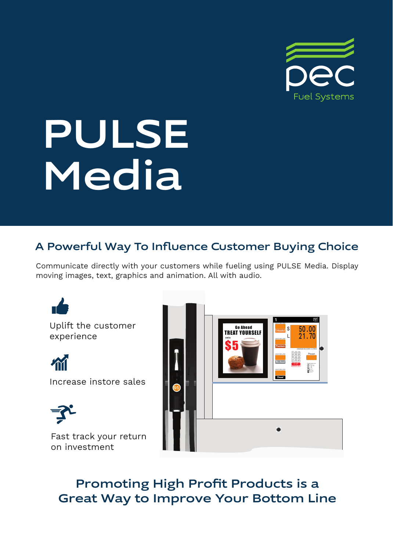

# PULSE **Media**

# A Powerful Way To Influence Customer Buying Choice

Communicate directly with your customers while fueling using PULSE Media. Display moving images, text, graphics and animation. All with audio.

Uplift the customer experience

m

Increase instore sales



Fast track your return on investment



Promoting High Profit Products is a Great Way to Improve Your Bottom Line